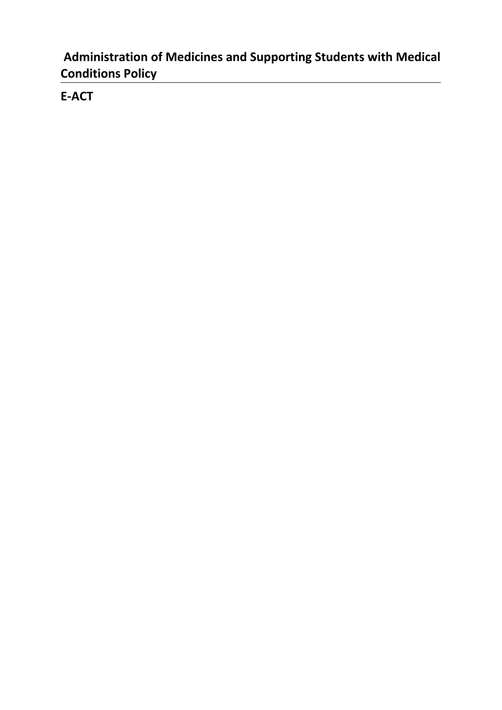# **Administration of Medicines and Supporting Students with Medical Conditions Policy**

**E-ACT**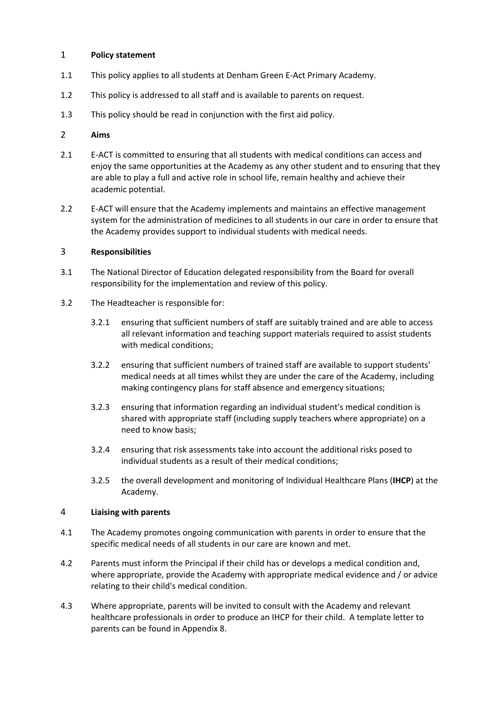#### 1 **Policy statement**

- 1.1 This policy applies to all students at Denham Green E-Act Primary Academy.
- 1.2 This policy is addressed to all staff and is available to parents on request.
- 1.3 This policy should be read in conjunction with the first aid policy.

# 2 **Aims**

- 2.1 E-ACT is committed to ensuring that all students with medical conditions can access and enjoy the same opportunities at the Academy as any other student and to ensuring that they are able to play a full and active role in school life, remain healthy and achieve their academic potential.
- 2.2 E-ACT will ensure that the Academy implements and maintains an effective management system for the administration of medicines to all students in our care in order to ensure that the Academy provides support to individual students with medical needs.

#### 3 **Responsibilities**

- 3.1 The National Director of Education delegated responsibility from the Board for overall responsibility for the implementation and review of this policy.
- 3.2 The Headteacher is responsible for:
	- 3.2.1 ensuring that sufficient numbers of staff are suitably trained and are able to access all relevant information and teaching support materials required to assist students with medical conditions;
	- 3.2.2 ensuring that sufficient numbers of trained staff are available to support students' medical needs at all times whilst they are under the care of the Academy, including making contingency plans for staff absence and emergency situations;
	- 3.2.3 ensuring that information regarding an individual student's medical condition is shared with appropriate staff (including supply teachers where appropriate) on a need to know basis;
	- 3.2.4 ensuring that risk assessments take into account the additional risks posed to individual students as a result of their medical conditions;
	- 3.2.5 the overall development and monitoring of Individual Healthcare Plans (**IHCP**) at the Academy.

# 4 **Liaising with parents**

- 4.1 The Academy promotes ongoing communication with parents in order to ensure that the specific medical needs of all students in our care are known and met.
- 4.2 Parents must inform the Principal if their child has or develops a medical condition and, where appropriate, provide the Academy with appropriate medical evidence and / or advice relating to their child's medical condition.
- 4.3 Where appropriate, parents will be invited to consult with the Academy and relevant healthcare professionals in order to produce an IHCP for their child. A template letter to parents can be found in Appendix 8.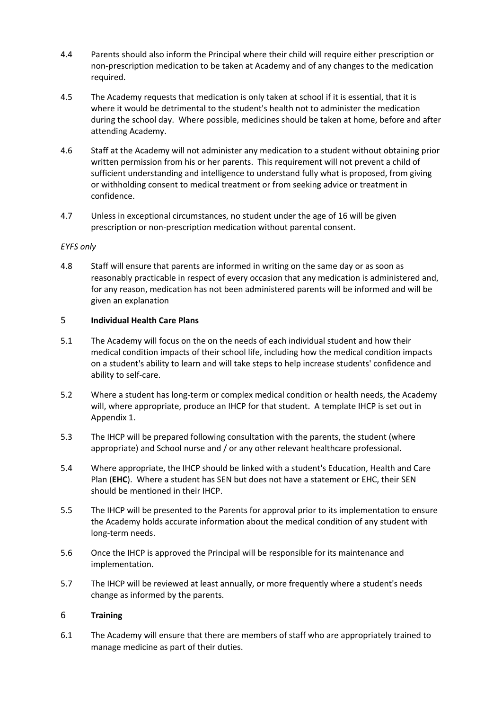- 4.4 Parents should also inform the Principal where their child will require either prescription or non-prescription medication to be taken at Academy and of any changes to the medication required.
- 4.5 The Academy requests that medication is only taken at school if it is essential, that it is where it would be detrimental to the student's health not to administer the medication during the school day. Where possible, medicines should be taken at home, before and after attending Academy.
- 4.6 Staff at the Academy will not administer any medication to a student without obtaining prior written permission from his or her parents. This requirement will not prevent a child of sufficient understanding and intelligence to understand fully what is proposed, from giving or withholding consent to medical treatment or from seeking advice or treatment in confidence.
- 4.7 Unless in exceptional circumstances, no student under the age of 16 will be given prescription or non-prescription medication without parental consent.

# *EYFS only*

4.8 Staff will ensure that parents are informed in writing on the same day or as soon as reasonably practicable in respect of every occasion that any medication is administered and, for any reason, medication has not been administered parents will be informed and will be given an explanation

# 5 **Individual Health Care Plans**

- 5.1 The Academy will focus on the on the needs of each individual student and how their medical condition impacts of their school life, including how the medical condition impacts on a student's ability to learn and will take steps to help increase students' confidence and ability to self-care.
- 5.2 Where a student has long-term or complex medical condition or health needs, the Academy will, where appropriate, produce an IHCP for that student. A template IHCP is set out in Appendix 1.
- 5.3 The IHCP will be prepared following consultation with the parents, the student (where appropriate) and School nurse and / or any other relevant healthcare professional.
- 5.4 Where appropriate, the IHCP should be linked with a student's Education, Health and Care Plan (**EHC**). Where a student has SEN but does not have a statement or EHC, their SEN should be mentioned in their IHCP.
- 5.5 The IHCP will be presented to the Parents for approval prior to its implementation to ensure the Academy holds accurate information about the medical condition of any student with long-term needs.
- 5.6 Once the IHCP is approved the Principal will be responsible for its maintenance and implementation.
- 5.7 The IHCP will be reviewed at least annually, or more frequently where a student's needs change as informed by the parents.

#### 6 **Training**

6.1 The Academy will ensure that there are members of staff who are appropriately trained to manage medicine as part of their duties.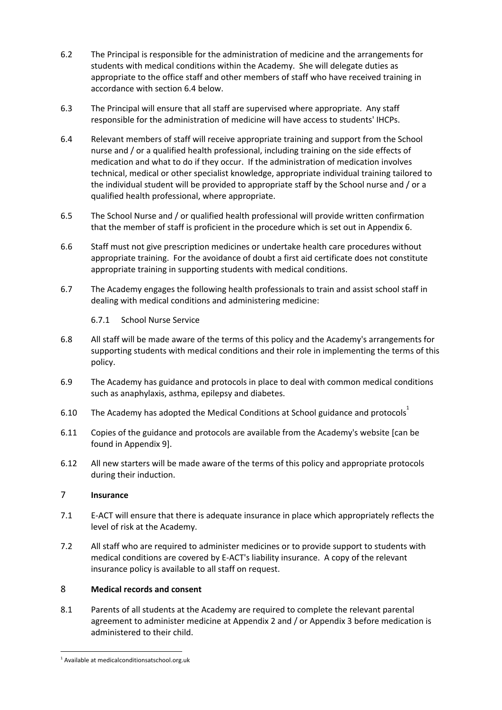- 6.2 The Principal is responsible for the administration of medicine and the arrangements for students with medical conditions within the Academy. She will delegate duties as appropriate to the office staff and other members of staff who have received training in accordance with section 6.4 below.
- 6.3 The Principal will ensure that all staff are supervised where appropriate. Any staff responsible for the administration of medicine will have access to students' IHCPs.
- 6.4 Relevant members of staff will receive appropriate training and support from the School nurse and / or a qualified health professional, including training on the side effects of medication and what to do if they occur. If the administration of medication involves technical, medical or other specialist knowledge, appropriate individual training tailored to the individual student will be provided to appropriate staff by the School nurse and / or a qualified health professional, where appropriate.
- 6.5 The School Nurse and / or qualified health professional will provide written confirmation that the member of staff is proficient in the procedure which is set out in Appendix 6.
- 6.6 Staff must not give prescription medicines or undertake health care procedures without appropriate training. For the avoidance of doubt a first aid certificate does not constitute appropriate training in supporting students with medical conditions.
- 6.7 The Academy engages the following health professionals to train and assist school staff in dealing with medical conditions and administering medicine:

6.7.1 School Nurse Service

- 6.8 All staff will be made aware of the terms of this policy and the Academy's arrangements for supporting students with medical conditions and their role in implementing the terms of this policy.
- 6.9 The Academy has guidance and protocols in place to deal with common medical conditions such as anaphylaxis, asthma, epilepsy and diabetes.
- 6.10 The Academy has adopted the Medical Conditions at School guidance and protocols
- 6.11 Copies of the guidance and protocols are available from the Academy's website [can be found in Appendix 9].
- 6.12 All new starters will be made aware of the terms of this policy and appropriate protocols during their induction.

#### 7 **Insurance**

- 7.1 E-ACT will ensure that there is adequate insurance in place which appropriately reflects the level of risk at the Academy.
- 7.2 All staff who are required to administer medicines or to provide support to students with medical conditions are covered by E-ACT's liability insurance. A copy of the relevant insurance policy is available to all staff on request.

# 8 **Medical records and consent**

8.1 Parents of all students at the Academy are required to complete the relevant parental agreement to administer medicine at Appendix 2 and / or Appendix 3 before medication is administered to their child.

<sup>1</sup> Available at medicalconditionsatschool.org.uk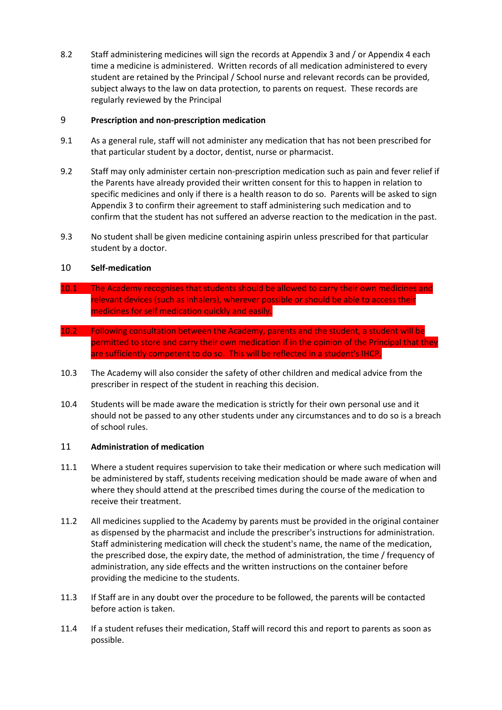8.2 Staff administering medicines will sign the records at Appendix 3 and / or Appendix 4 each time a medicine is administered. Written records of all medication administered to every student are retained by the Principal / School nurse and relevant records can be provided, subject always to the law on data protection, to parents on request. These records are regularly reviewed by the Principal

# 9 **Prescription and non-prescription medication**

- 9.1 As a general rule, staff will not administer any medication that has not been prescribed for that particular student by a doctor, dentist, nurse or pharmacist.
- 9.2 Staff may only administer certain non-prescription medication such as pain and fever relief if the Parents have already provided their written consent for this to happen in relation to specific medicines and only if there is a health reason to do so. Parents will be asked to sign Appendix 3 to confirm their agreement to staff administering such medication and to confirm that the student has not suffered an adverse reaction to the medication in the past.
- 9.3 No student shall be given medicine containing aspirin unless prescribed for that particular student by a doctor.

# 10 **Self-medication**

- 10.1 The Academy recognises that students should be allowed to carry their own medicines and relevant devices (such as inhalers), wherever possible or should be able to access their medicines for self medication quickly and easily.
- 10.2 Following consultation between the Academy, parents and the student, a student will be permitted to store and carry their own medication if in the opinion of the Principal that they are sufficiently competent to do so. This will be reflected in a student's IHCP.
- 10.3 The Academy will also consider the safety of other children and medical advice from the prescriber in respect of the student in reaching this decision.
- 10.4 Students will be made aware the medication is strictly for their own personal use and it should not be passed to any other students under any circumstances and to do so is a breach of school rules.

#### 11 **Administration of medication**

- 11.1 Where a student requires supervision to take their medication or where such medication will be administered by staff, students receiving medication should be made aware of when and where they should attend at the prescribed times during the course of the medication to receive their treatment.
- 11.2 All medicines supplied to the Academy by parents must be provided in the original container as dispensed by the pharmacist and include the prescriber's instructions for administration. Staff administering medication will check the student's name, the name of the medication, the prescribed dose, the expiry date, the method of administration, the time / frequency of administration, any side effects and the written instructions on the container before providing the medicine to the students.
- 11.3 If Staff are in any doubt over the procedure to be followed, the parents will be contacted before action is taken.
- 11.4 If a student refuses their medication, Staff will record this and report to parents as soon as possible.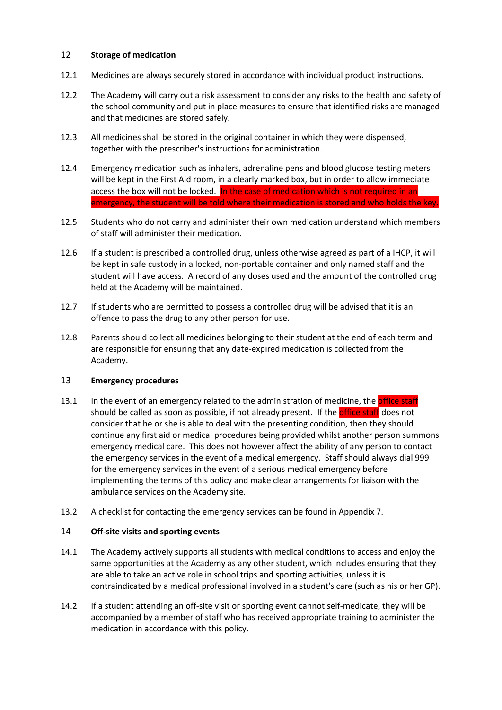#### 12 **Storage of medication**

- 12.1 Medicines are always securely stored in accordance with individual product instructions.
- 12.2 The Academy will carry out a risk assessment to consider any risks to the health and safety of the school community and put in place measures to ensure that identified risks are managed and that medicines are stored safely.
- 12.3 All medicines shall be stored in the original container in which they were dispensed, together with the prescriber's instructions for administration.
- 12.4 Emergency medication such as inhalers, adrenaline pens and blood glucose testing meters will be kept in the First Aid room, in a clearly marked box, but in order to allow immediate access the box will not be locked. In the case of medication which is not required in an emergency, the student will be told where their medication is stored and who holds the key.
- 12.5 Students who do not carry and administer their own medication understand which members of staff will administer their medication.
- 12.6 If a student is prescribed a controlled drug, unless otherwise agreed as part of a IHCP, it will be kept in safe custody in a locked, non-portable container and only named staff and the student will have access. A record of any doses used and the amount of the controlled drug held at the Academy will be maintained.
- 12.7 If students who are permitted to possess a controlled drug will be advised that it is an offence to pass the drug to any other person for use.
- 12.8 Parents should collect all medicines belonging to their student at the end of each term and are responsible for ensuring that any date-expired medication is collected from the Academy.

# 13 **Emergency procedures**

- 13.1 In the event of an emergency related to the administration of medicine, the **office staff** should be called as soon as possible, if not already present. If the office staff does not consider that he or she is able to deal with the presenting condition, then they should continue any first aid or medical procedures being provided whilst another person summons emergency medical care. This does not however affect the ability of any person to contact the emergency services in the event of a medical emergency. Staff should always dial 999 for the emergency services in the event of a serious medical emergency before implementing the terms of this policy and make clear arrangements for liaison with the ambulance services on the Academy site.
- 13.2 A checklist for contacting the emergency services can be found in Appendix 7.

# 14 **Off-site visits and sporting events**

- 14.1 The Academy actively supports all students with medical conditions to access and enjoy the same opportunities at the Academy as any other student, which includes ensuring that they are able to take an active role in school trips and sporting activities, unless it is contraindicated by a medical professional involved in a student's care (such as his or her GP).
- 14.2 If a student attending an off-site visit or sporting event cannot self-medicate, they will be accompanied by a member of staff who has received appropriate training to administer the medication in accordance with this policy.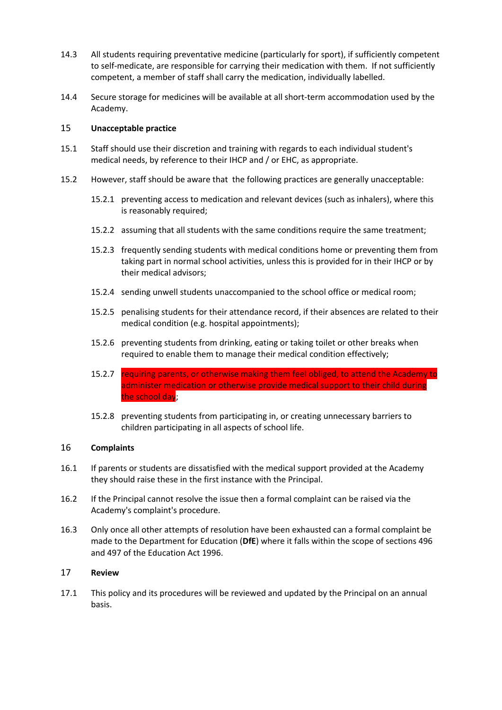- 14.3 All students requiring preventative medicine (particularly for sport), if sufficiently competent to self-medicate, are responsible for carrying their medication with them. If not sufficiently competent, a member of staff shall carry the medication, individually labelled.
- 14.4 Secure storage for medicines will be available at all short-term accommodation used by the Academy.

#### 15 **Unacceptable practice**

- 15.1 Staff should use their discretion and training with regards to each individual student's medical needs, by reference to their IHCP and / or EHC, as appropriate.
- 15.2 However, staff should be aware that the following practices are generally unacceptable:
	- 15.2.1 preventing access to medication and relevant devices (such as inhalers), where this is reasonably required;
	- 15.2.2 assuming that all students with the same conditions require the same treatment;
	- 15.2.3 frequently sending students with medical conditions home or preventing them from taking part in normal school activities, unless this is provided for in their IHCP or by their medical advisors;
	- 15.2.4 sending unwell students unaccompanied to the school office or medical room;
	- 15.2.5 penalising students for their attendance record, if their absences are related to their medical condition (e.g. hospital appointments);
	- 15.2.6 preventing students from drinking, eating or taking toilet or other breaks when required to enable them to manage their medical condition effectively;
	- 15.2.7 requiring parents, or otherwise making them feel obliged, to attend the Academy to administer medication or otherwise provide medical support to their child during the school day;
	- 15.2.8 preventing students from participating in, or creating unnecessary barriers to children participating in all aspects of school life.

#### 16 **Complaints**

- 16.1 If parents or students are dissatisfied with the medical support provided at the Academy they should raise these in the first instance with the Principal.
- 16.2 If the Principal cannot resolve the issue then a formal complaint can be raised via the Academy's complaint's procedure.
- 16.3 Only once all other attempts of resolution have been exhausted can a formal complaint be made to the Department for Education (**DfE**) where it falls within the scope of sections 496 and 497 of the Education Act 1996.

#### 17 **Review**

17.1 This policy and its procedures will be reviewed and updated by the Principal on an annual basis.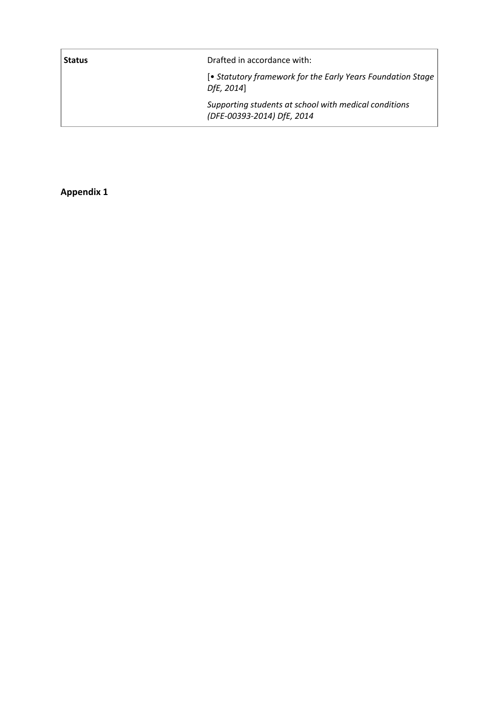| <b>Status</b> | Drafted in accordance with:                                                         |  |  |
|---------------|-------------------------------------------------------------------------------------|--|--|
|               | [• Statutory framework for the Early Years Foundation Stage<br>DfE, 2014]           |  |  |
|               | Supporting students at school with medical conditions<br>(DFE-00393-2014) DfE, 2014 |  |  |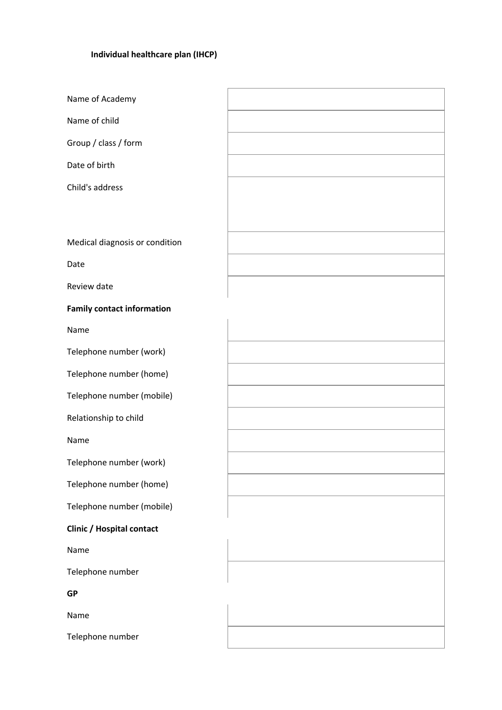# **Individual healthcare plan (IHCP)**

Name of Academy

Name of child

Group / class / form

Date of birth

Child's address

Medical diagnosis or condition

Date

Review date

**Family contact information**

Name

Telephone number (work)

Telephone number (home)

Telephone number (mobile)

Relationship to child

Name

Telephone number (work)

Telephone number (home)

Telephone number (mobile)

#### **Clinic / Hospital contact**

Name

Telephone number

**GP**

Name

Telephone number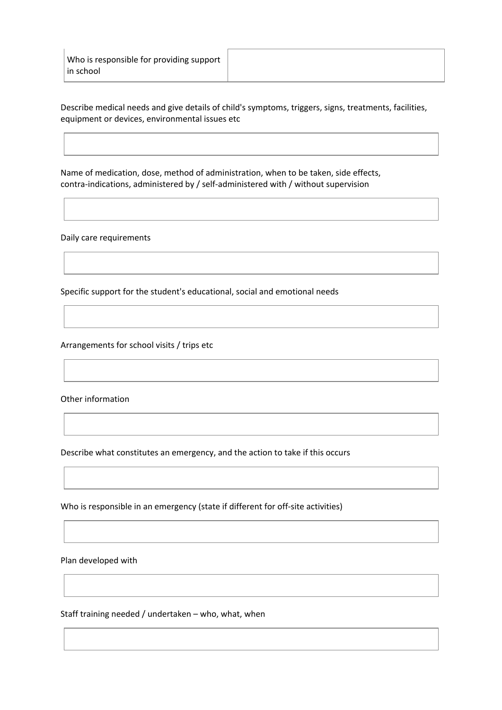Describe medical needs and give details of child's symptoms, triggers, signs, treatments, facilities, equipment or devices, environmental issues etc

Name of medication, dose, method of administration, when to be taken, side effects, contra-indications, administered by / self-administered with / without supervision

Daily care requirements

Specific support for the student's educational, social and emotional needs

Arrangements for school visits / trips etc

Other information

Describe what constitutes an emergency, and the action to take if this occurs

Who is responsible in an emergency (state if different for off-site activities)

Plan developed with

Staff training needed / undertaken – who, what, when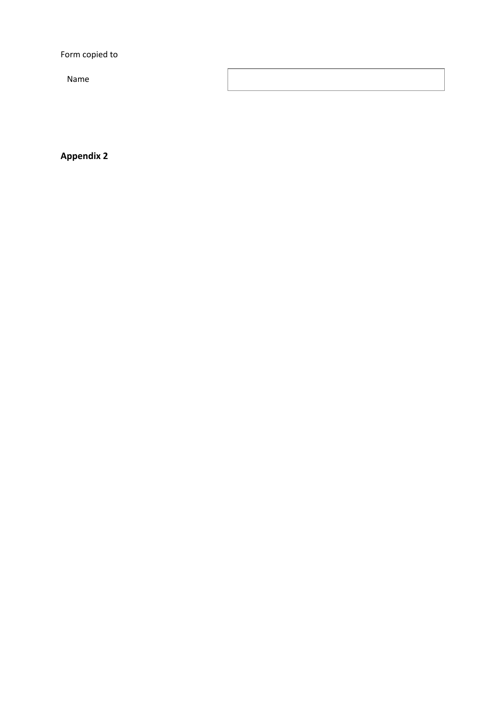Form copied to

Name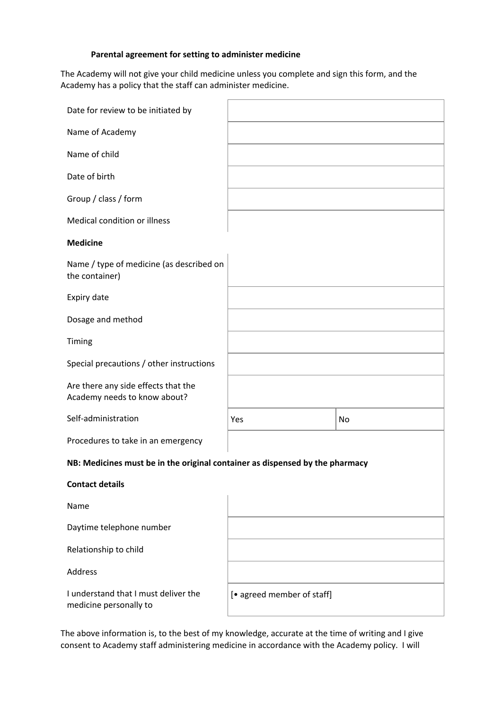#### **Parental agreement for setting to administer medicine**

The Academy will not give your child medicine unless you complete and sign this form, and the Academy has a policy that the staff can administer medicine.

| Date for review to be initiated by                                           |                            |    |
|------------------------------------------------------------------------------|----------------------------|----|
| Name of Academy                                                              |                            |    |
| Name of child                                                                |                            |    |
| Date of birth                                                                |                            |    |
| Group / class / form                                                         |                            |    |
| <b>Medical condition or illness</b>                                          |                            |    |
| <b>Medicine</b>                                                              |                            |    |
| Name / type of medicine (as described on<br>the container)                   |                            |    |
| Expiry date                                                                  |                            |    |
| Dosage and method                                                            |                            |    |
| Timing                                                                       |                            |    |
| Special precautions / other instructions                                     |                            |    |
| Are there any side effects that the<br>Academy needs to know about?          |                            |    |
| Self-administration                                                          | Yes                        | No |
| Procedures to take in an emergency                                           |                            |    |
| NB: Medicines must be in the original container as dispensed by the pharmacy |                            |    |
| <b>Contact details</b>                                                       |                            |    |
| Name                                                                         |                            |    |
| Daytime telephone number                                                     |                            |    |
| Relationship to child                                                        |                            |    |
| Address                                                                      |                            |    |
| I understand that I must deliver the<br>medicine personally to               | [• agreed member of staff] |    |

The above information is, to the best of my knowledge, accurate at the time of writing and I give consent to Academy staff administering medicine in accordance with the Academy policy. I will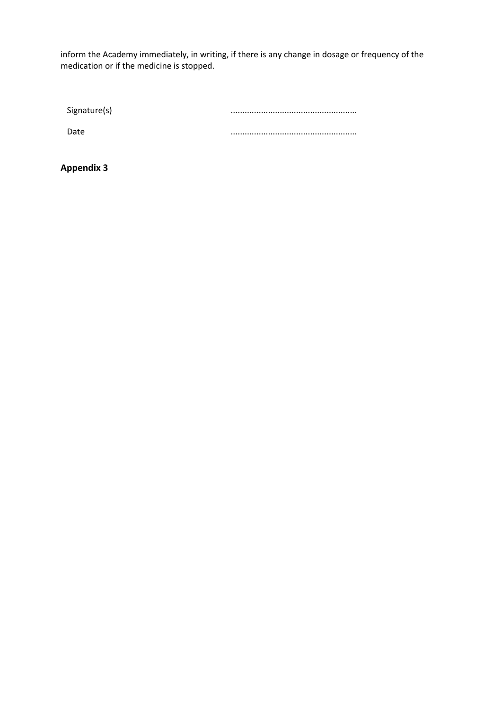inform the Academy immediately, in writing, if there is any change in dosage or frequency of the medication or if the medicine is stopped.

| Signature(s) |  |
|--------------|--|
| Date         |  |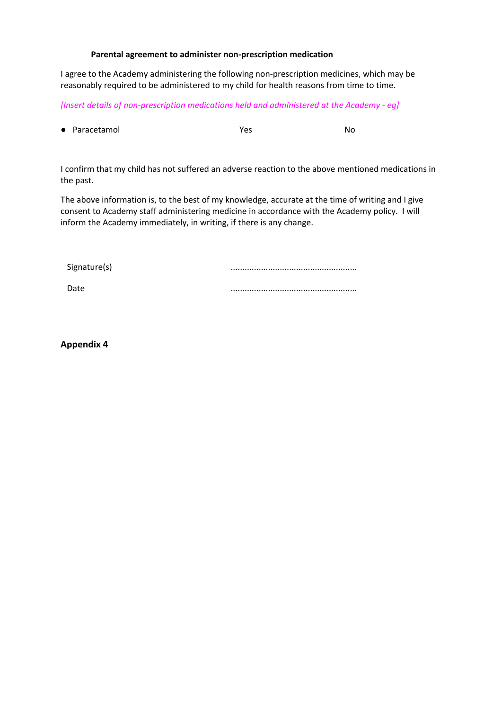#### **Parental agreement to administer non-prescription medication**

I agree to the Academy administering the following non-prescription medicines, which may be reasonably required to be administered to my child for health reasons from time to time.

*[Insert details of non-prescription medications held and administered at the Academy - eg]*

● Paracetamol Yes No

I confirm that my child has not suffered an adverse reaction to the above mentioned medications in the past.

The above information is, to the best of my knowledge, accurate at the time of writing and I give consent to Academy staff administering medicine in accordance with the Academy policy. I will inform the Academy immediately, in writing, if there is any change.

Signature(s) ...................................................... Date ......................................................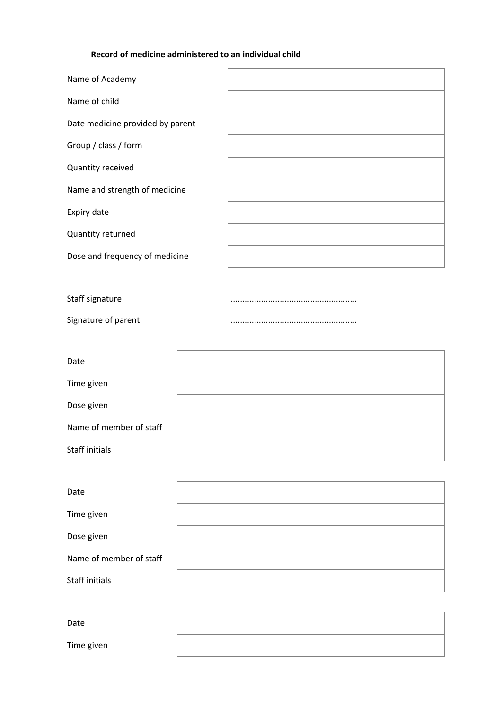# **Record of medicine administered to an individual child**

| Name of Academy                  |  |
|----------------------------------|--|
| Name of child                    |  |
| Date medicine provided by parent |  |
| Group / class / form             |  |
| Quantity received                |  |
| Name and strength of medicine    |  |
| Expiry date                      |  |
| Quantity returned                |  |
| Dose and frequency of medicine   |  |
|                                  |  |

| Staff signature     |  |
|---------------------|--|
| Signature of parent |  |

| Date                    |  |  |
|-------------------------|--|--|
| Time given              |  |  |
| Dose given              |  |  |
| Name of member of staff |  |  |
| Staff initials          |  |  |

| Date                    |  |  |
|-------------------------|--|--|
| Time given              |  |  |
| Dose given              |  |  |
| Name of member of staff |  |  |
| Staff initials          |  |  |
|                         |  |  |

| Date       |  |  |
|------------|--|--|
| Time given |  |  |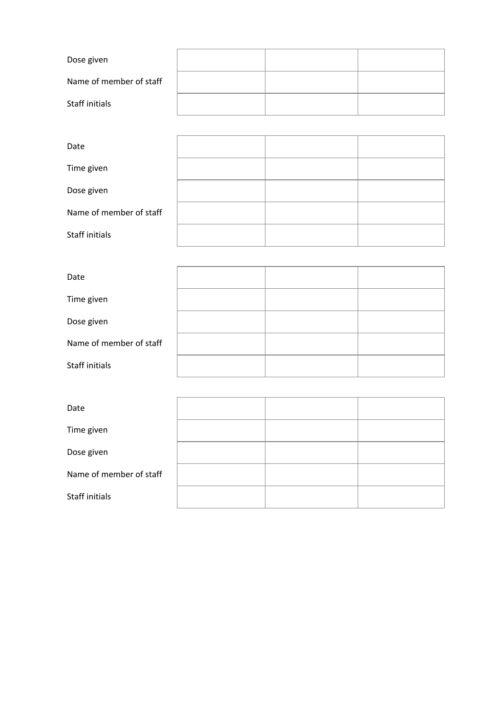| Dose given              |  |  |
|-------------------------|--|--|
| Name of member of staff |  |  |
| Staff initials          |  |  |

| Date                    |  |  |
|-------------------------|--|--|
| Time given              |  |  |
| Dose given              |  |  |
| Name of member of staff |  |  |
| Staff initials          |  |  |

| Date                    |  |  |
|-------------------------|--|--|
| Time given              |  |  |
| Dose given              |  |  |
| Name of member of staff |  |  |
| Staff initials          |  |  |

| Date                    |  |  |
|-------------------------|--|--|
| Time given              |  |  |
| Dose given              |  |  |
| Name of member of staff |  |  |
| Staff initials          |  |  |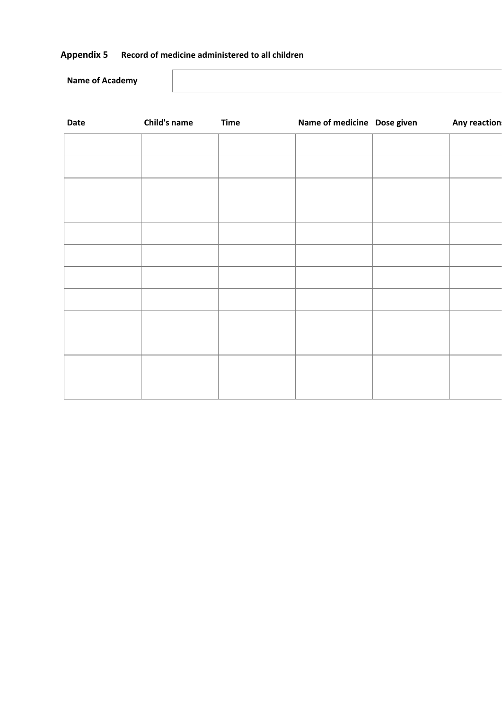# **Appendix 5 Record of medicine administered to all children**

**Name of Academy**

| Date | Child's name | <b>Time</b> | Name of medicine Dose given | Any reaction |
|------|--------------|-------------|-----------------------------|--------------|
|      |              |             |                             |              |
|      |              |             |                             |              |
|      |              |             |                             |              |
|      |              |             |                             |              |
|      |              |             |                             |              |
|      |              |             |                             |              |
|      |              |             |                             |              |
|      |              |             |                             |              |
|      |              |             |                             |              |
|      |              |             |                             |              |
|      |              |             |                             |              |
|      |              |             |                             |              |
|      |              |             |                             |              |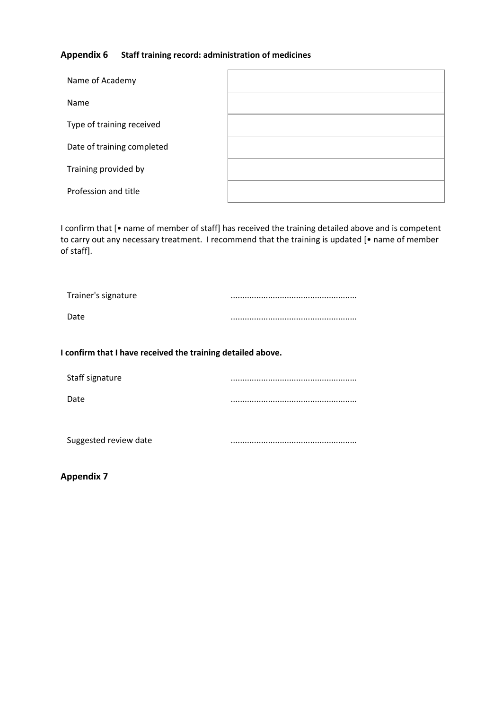# **Appendix 6 Staff training record: administration of medicines**

| Name of Academy            |  |
|----------------------------|--|
| Name                       |  |
| Type of training received  |  |
| Date of training completed |  |
| Training provided by       |  |
| Profession and title       |  |

I confirm that [• name of member of staff] has received the training detailed above and is competent to carry out any necessary treatment. I recommend that the training is updated [• name of member of staff].

| Trainer's signature |  |
|---------------------|--|
| Date                |  |

**I confirm that I have received the training detailed above.**

| Staff signature |  |
|-----------------|--|
| Date            |  |

Suggested review date ......................................................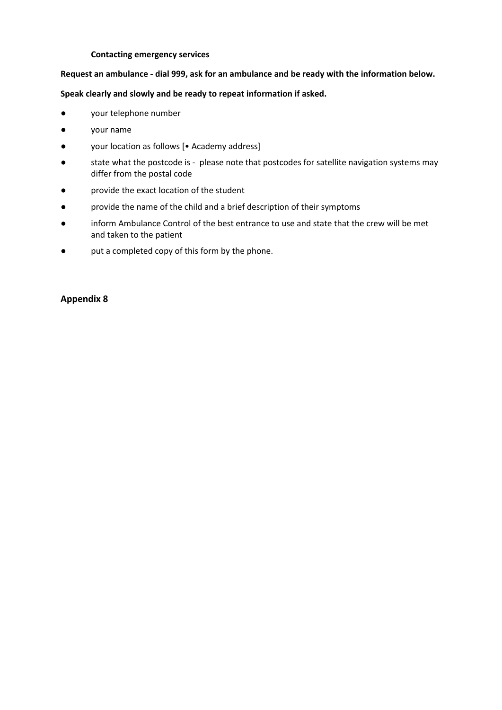#### **Contacting emergency services**

#### **Request an ambulance - dial 999, ask for an ambulance and be ready with the information below.**

**Speak clearly and slowly and be ready to repeat information if asked.**

- your telephone number
- your name
- your location as follows [• Academy address]
- state what the postcode is please note that postcodes for satellite navigation systems may differ from the postal code
- provide the exact location of the student
- provide the name of the child and a brief description of their symptoms
- inform Ambulance Control of the best entrance to use and state that the crew will be met and taken to the patient
- put a completed copy of this form by the phone.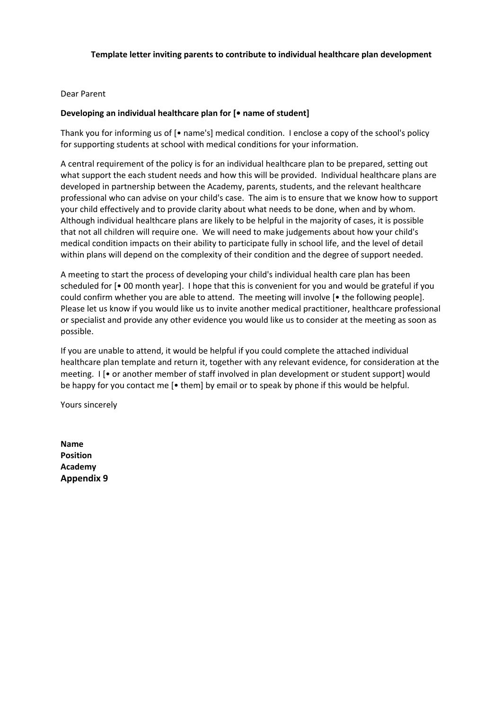# Dear Parent

# **Developing an individual healthcare plan for [• name of student]**

Thank you for informing us of [• name's] medical condition. I enclose a copy of the school's policy for supporting students at school with medical conditions for your information.

A central requirement of the policy is for an individual healthcare plan to be prepared, setting out what support the each student needs and how this will be provided. Individual healthcare plans are developed in partnership between the Academy, parents, students, and the relevant healthcare professional who can advise on your child's case. The aim is to ensure that we know how to support your child effectively and to provide clarity about what needs to be done, when and by whom. Although individual healthcare plans are likely to be helpful in the majority of cases, it is possible that not all children will require one. We will need to make judgements about how your child's medical condition impacts on their ability to participate fully in school life, and the level of detail within plans will depend on the complexity of their condition and the degree of support needed.

A meeting to start the process of developing your child's individual health care plan has been scheduled for [• 00 month year]. I hope that this is convenient for you and would be grateful if you could confirm whether you are able to attend. The meeting will involve [• the following people]. Please let us know if you would like us to invite another medical practitioner, healthcare professional or specialist and provide any other evidence you would like us to consider at the meeting as soon as possible.

If you are unable to attend, it would be helpful if you could complete the attached individual healthcare plan template and return it, together with any relevant evidence, for consideration at the meeting. I [• or another member of staff involved in plan development or student support] would be happy for you contact me [• them] by email or to speak by phone if this would be helpful.

Yours sincerely

**Name Position Academy Appendix 9**